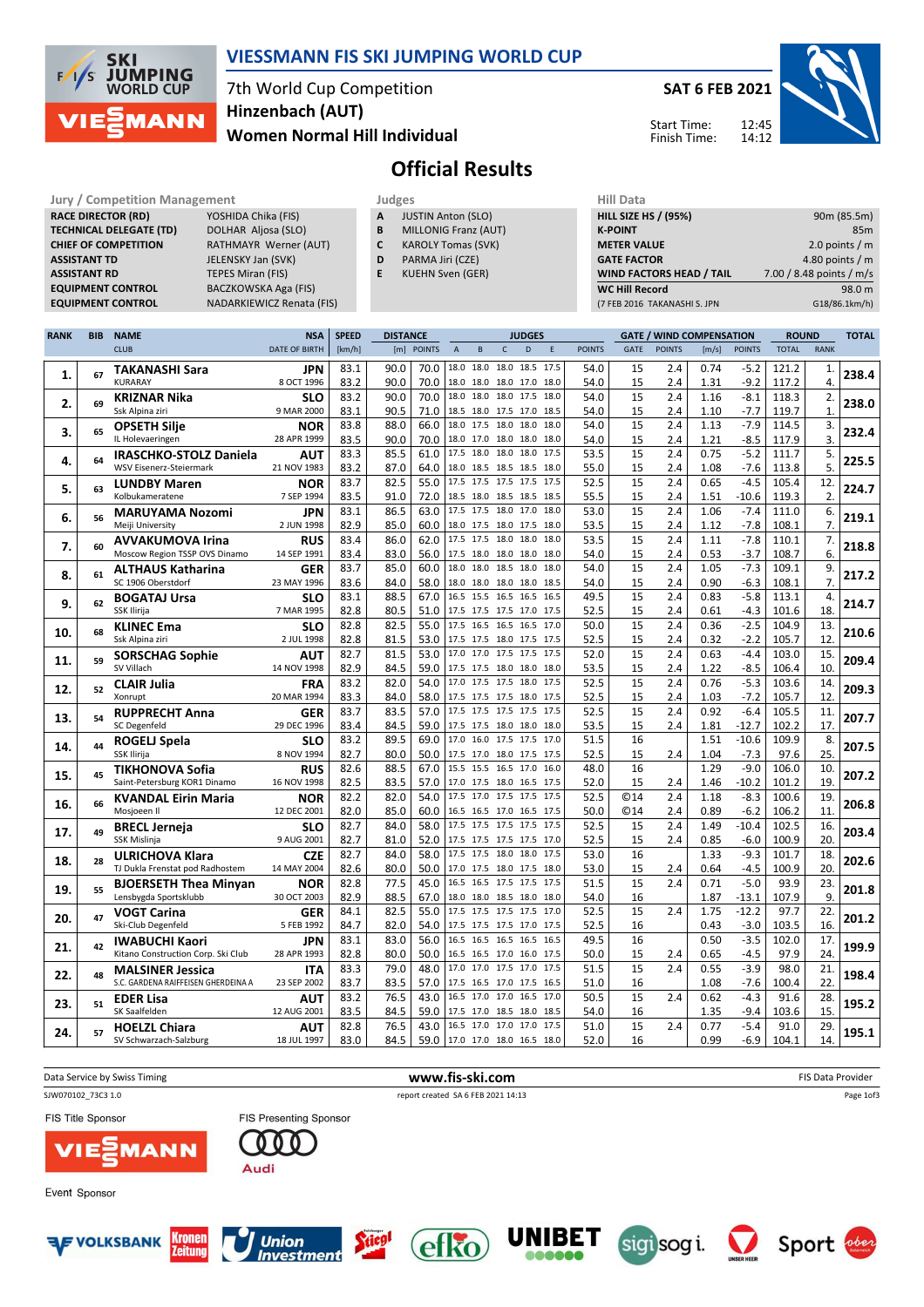

### VIESSMANN FIS SKI JUMPING WORLD CUP

7th World Cup Competition Women Normal Hill Individual Hinzenbach (AUT)

SAT 6 FEB 2021



Start Time: Finish Time:

# Official Results

Jury / Competition Management Judges Judges Hill Data<br>
RACE DIRECTOR (RD) YOSHIDA Chika (FIS) A JUSTIN Anton (SLO) HILL SIZE HILL SIZE RACE DIRECTOR (RD) **TECHNICAL DELEGATE (TD)** DOLHAR Aljosa (SLO)<br> **CHIEF OF COMPETITION** RATHMAYR Werner ( ASSISTANT TD JELENSKY Jan (SVK) **ASSISTANT RD** TEPES Miran (FIS)<br> **EQUIPMENT CONTROL** BACZKOWSKA Aga

RATHMAYR Werner (AUT) BACZKOWSKA Aga (FIS) EQUIPMENT CONTROL NADARKIEWICZ Renata (FIS)

| Judges                         |  |
|--------------------------------|--|
| <b>JUSTIN Anton (SLO)</b><br>А |  |

- **B** MILLONIG Franz (AUT)<br>**C** KAROLY Tomas (SVK) KAROLY Tomas (SVK)
- D PARMA Jiri (CZE)
- E KUEHN Sven (GER)

| <b>HILL SIZE HS / (95%)</b>     | 90m (85.5m)              |
|---------------------------------|--------------------------|
| <b>K-POINT</b>                  | 85 <sub>m</sub>          |
| <b>METER VALUE</b>              | 2.0 points / $m$         |
| <b>GATE FACTOR</b>              | 4.80 points / $m$        |
| <b>WIND FACTORS HEAD / TAIL</b> | 7.00 / 8.48 points / m/s |
| <b>WC Hill Record</b>           | 98.0 m                   |
| (7 FEB 2016 TAKANASHI S. JPN    | G18/86.1km/h)            |
|                                 |                          |

| <b>RANK</b> | <b>BIB</b> | <b>NAME</b>                                           | <b>NSA</b>                | <b>SPEED</b> | <b>DISTANCE</b> |               |                               |      | <b>JUDGES</b>  |                                                      |               |            |               | <b>GATE / WIND COMPENSATION</b> |                  | <b>ROUND</b>  |             | <b>TOTAL</b> |
|-------------|------------|-------------------------------------------------------|---------------------------|--------------|-----------------|---------------|-------------------------------|------|----------------|------------------------------------------------------|---------------|------------|---------------|---------------------------------|------------------|---------------|-------------|--------------|
|             |            | <b>CLUB</b>                                           | <b>DATE OF BIRTH</b>      | [km/h]       | [m]             | <b>POINTS</b> | $\overline{A}$                | B    | $\mathsf{C}$   | D<br>$\mathsf E$                                     | <b>POINTS</b> | GATE       | <b>POINTS</b> | [m/s]                           | <b>POINTS</b>    | <b>TOTAL</b>  | <b>RANK</b> |              |
|             |            | <b>TAKANASHI Sara</b>                                 | <b>JPN</b>                | 83.1         | 90.0            | 70.0          | 18.0                          |      |                | 18.0 18.0 18.5 17.5                                  | 54.0          | 15         | 2.4           | 0.74                            | $-5.2$           | 121.2         | 1.          |              |
| 1.          | 67         | <b>KURARAY</b>                                        | 8 OCT 1996                | 83.2         | 90.0            | 70.0          |                               |      |                | 18.0 18.0 18.0 17.0 18.0                             | 54.0          | 15         | 2.4           | 1.31                            | $-9.2$           | 117.2         | 4.          | 238.4        |
|             |            | <b>KRIZNAR Nika</b>                                   | <b>SLO</b>                | 83.2         | 90.0            | 70.0          | 18.0                          |      | 18.0 18.0 17.5 | 18.0                                                 | 54.0          | 15         | 2.4           | 1.16                            | $-8.1$           | 118.3         | 2.          |              |
| 2.          | 69         | Ssk Alpina ziri                                       | 9 MAR 2000                | 83.1         | 90.5            | 71.0          |                               |      |                | 18.5 18.0 17.5 17.0 18.5                             | 54.0          | 15         | 2.4           | 1.10                            | $-7.7$           | 119.7         | 1.          | 238.0        |
|             |            | <b>OPSETH Silje</b>                                   | <b>NOR</b>                | 83.8         | 88.0            | 66.0          | 18.0 17.5 18.0 18.0           |      |                | 18.0                                                 | 54.0          | 15         | 2.4           | 1.13                            | $-7.9$           | 114.5         | 3.          |              |
| 3.          | 65         | IL Holevaeringen                                      | 28 APR 1999               | 83.5         | 90.0            | 70.0          |                               |      |                | 18.0 17.0 18.0 18.0 18.0                             | 54.0          | 15         | 2.4           | 1.21                            | $-8.5$           | 117.9         | 3.          | 232.4        |
|             |            | <b>IRASCHKO-STOLZ Daniela</b>                         | AUT                       | 83.3         | 85.5            | 61.0          |                               |      |                | 17.5 18.0 18.0 18.0 17.5                             | 53.5          | 15         | 2.4           | 0.75                            | $-5.2$           | 111.7         | 5.          |              |
| 4.          | 64         | WSV Eisenerz-Steiermark                               | 21 NOV 1983               | 83.2         | 87.0            | 64.0          |                               |      |                | 18.0 18.5 18.5 18.5 18.0                             | 55.0          | 15         | 2.4           | 1.08                            | $-7.6$           | 113.8         | 5.          | 225.5        |
|             |            | <b>LUNDBY Maren</b>                                   | <b>NOR</b>                | 83.7         | 82.5            | 55.0          |                               |      |                | 17.5 17.5 17.5 17.5 17.5                             | 52.5          | 15         | 2.4           | 0.65                            | $-4.5$           | 105.4         | 12.         |              |
| 5.          | 63         | Kolbukameratene                                       | 7 SEP 1994                | 83.5         | 91.0            | 72.0          |                               |      |                | 18.5 18.0 18.5 18.5 18.5                             | 55.5          | 15         | 2.4           | 1.51                            | $-10.6$          | 119.3         | 2.          | 224.7        |
|             | 56         | <b>MARUYAMA Nozomi</b>                                | <b>JPN</b>                | 83.1         | 86.5            | 63.0          | 17.5 17.5 18.0 17.0           |      |                | 18.0                                                 | 53.0          | 15         | 2.4           | 1.06                            | $-7.4$           | 111.0         | 6.          |              |
| 6.          |            | Meiji University                                      | 2 JUN 1998                | 82.9         | 85.0            | 60.0          |                               |      |                | 18.0 17.5 18.0 17.5 18.0                             | 53.5          | 15         | 2.4           | 1.12                            | $-7.8$           | 108.1         | 7.          | 219.1        |
|             | 60         | <b>AVVAKUMOVA Irina</b>                               | <b>RUS</b>                | 83.4         | 86.0            | 62.0          | 17.5                          |      | 17.5 18.0 18.0 | 18.0                                                 | 53.5          | 15         | 2.4           | 1.11                            | $-7.8$           | 110.1         | 7.          |              |
| 7.          |            | Moscow Region TSSP OVS Dinamo                         | 14 SEP 1991               | 83.4         | 83.0            | 56.0          |                               |      |                | 17.5 18.0 18.0 18.0 18.0                             | 54.0          | 15         | 2.4           | 0.53                            | $-3.7$           | 108.7         | 6.          | 218.8        |
| 8.          | 61         | <b>ALTHAUS Katharina</b>                              | <b>GER</b>                | 83.7         | 85.0            | 60.0          | 18.0                          | 18.0 | 18.5 18.0      | 18.0                                                 | 54.0          | 15         | 2.4           | 1.05                            | $-7.3$           | 109.1         | 9.          | 217.2        |
|             |            | SC 1906 Oberstdorf                                    | 23 MAY 1996               | 83.6         | 84.0            | 58.0          |                               |      |                | 18.0 18.0 18.0 18.0 18.5                             | 54.0          | 15         | 2.4           | 0.90                            | $-6.3$           | 108.1         | 7.          |              |
| 9.          | 62         | <b>BOGATAJ Ursa</b>                                   | <b>SLO</b>                | 83.1         | 88.5            | 67.0          | 16.5                          |      | 15.5 16.5 16.5 | 16.5                                                 | 49.5          | 15         | 2.4           | 0.83                            | $-5.8$           | 113.1         | 4.          | 214.7        |
|             |            | SSK Ilirija                                           | 7 MAR 1995                | 82.8         | 80.5            | 51.0          |                               |      |                | 17.5 17.5 17.5 17.0 17.5                             | 52.5          | 15         | 2.4           | 0.61                            | $-4.3$           | 101.6         | 18.         |              |
| 10.         | 68         | <b>KLINEC Ema</b>                                     | <b>SLO</b>                | 82.8         | 82.5            | 55.0          |                               |      |                | 17.5 16.5 16.5 16.5 17.0                             | 50.0          | 15         | 2.4           | 0.36                            | $-2.5$           | 104.9         | 13.         | 210.6        |
|             |            | Ssk Alpina ziri                                       | 2 JUL 1998                | 82.8         | 81.5            | 53.0          |                               |      |                | 17.5 17.5 18.0 17.5 17.5                             | 52.5          | 15         | 2.4           | 0.32                            | $-2.2$           | 105.7         | 12          |              |
| 11.         | 59         | <b>SORSCHAG Sophie</b>                                | <b>AUT</b>                | 82.7         | 81.5            | 53.0          |                               |      |                | 17.0 17.0 17.5 17.5 17.5                             | 52.0          | 15         | 2.4           | 0.63                            | $-4.4$           | 103.0         | 15.         | 209.4        |
|             |            | SV Villach                                            | 14 NOV 1998               | 82.9         | 84.5            | 59.0          |                               |      |                | 17.5 17.5 18.0 18.0 18.0                             | 53.5          | 15         | 2.4           | 1.22                            | -8.5             | 106.4         | 10.         |              |
| 12.         | 52         | <b>CLAIR Julia</b>                                    | <b>FRA</b>                | 83.2         | 82.0            | 54.0          |                               |      |                | 17.0 17.5 17.5 18.0 17.5                             | 52.5          | 15         | 2.4           | 0.76                            | $-5.3$           | 103.6         | 14.         | 209.3        |
|             |            | Xonrupt                                               | 20 MAR 1994               | 83.3         | 84.0            | 58.0          |                               |      |                | 17.5 17.5 17.5 18.0 17.5                             | 52.5          | 15         | 2.4           | 1.03                            | $-7.2$           | 105.7         | 12          |              |
| 13.         | 54         | <b>RUPPRECHT Anna</b>                                 | <b>GER</b>                | 83.7         | 83.5            | 57.0          |                               |      |                | 17.5 17.5 17.5 17.5 17.5                             | 52.5          | 15         | 2.4           | 0.92                            | $-6.4$           | 105.5         | 11.         | 207.7        |
|             |            | SC Degenfeld                                          | 29 DEC 1996               | 83.4         | 84.5            | 59.0          | 17.5 17.5 18.0 18.0 18.0      |      |                |                                                      | 53.5          | 15         | 2.4           | 1.81                            | $-12.7$          | 102.2         | 17          |              |
| 14.         | 44         | ROGELJ Spela                                          | <b>SLO</b>                | 83.2         | 89.5            | 69.0          |                               |      |                | 17.0 16.0 17.5 17.5 17.0                             | 51.5          | 16         |               | 1.51                            | $-10.6$          | 109.9         | 8.          | 207.5        |
|             |            | SSK Ilirija                                           | 8 NOV 1994                | 82.7         | 80.0            | 50.0          |                               |      |                | 17.5 17.0 18.0 17.5 17.5                             | 52.5          | 15         | 2.4           | 1.04                            | $-7.3$           | 97.6          | 25.         |              |
| 15.         | 45         | <b>TIKHONOVA Sofia</b>                                | <b>RUS</b>                | 82.6         | 88.5            | 67.0          |                               |      |                | 15.5 15.5 16.5 17.0 16.0                             | 48.0          | 16         |               | 1.29                            | $-9.0$           | 106.0         | 10.         | 207.2        |
|             |            | Saint-Petersburg KOR1 Dinamo                          | 16 NOV 1998               | 82.5         | 83.5            | 57.0          |                               |      |                | 17.0 17.5 18.0 16.5 17.5                             | 52.0          | 15         | 2.4           | 1.46                            | $-10.2$          | 101.2         | 19          |              |
| 16.         | 66         | <b>KVANDAL Eirin Maria</b>                            | <b>NOR</b>                | 82.2         | 82.0            | 54.0          |                               |      |                | 17.5 17.0 17.5 17.5 17.5                             | 52.5          | @14        | 2.4           | 1.18                            | $-8.3$           | 100.6         | 19          | 206.8        |
|             |            | Mosjoeen II                                           | 12 DEC 2001               | 82.0         | 85.0            |               | 60.0 16.5 16.5 17.0 16.5 17.5 |      |                |                                                      | 50.0          | <b>©14</b> | 2.4           | 0.89                            | $-6.2$           | 106.2         | 11.         |              |
| 17.         | 49         | <b>BRECL Jerneja</b>                                  | <b>SLO</b>                | 82.7         | 84.0            | 58.0          |                               |      |                | 17.5 17.5 17.5 17.5 17.5                             | 52.5          | 15         | 2.4           | 1.49                            | $-10.4$          | 102.5         | 16          | 203.4        |
|             |            | SSK Mislinja                                          | 9 AUG 2001                | 82.7         | 81.0            | 52.0          |                               |      |                | 17.5 17.5 17.5 17.5 17.0                             | 52.5          | 15         | 2.4           | 0.85                            | $-6.0$           | 100.9         | 20          |              |
| 18.         | 28         | <b>ULRICHOVA Klara</b>                                | <b>CZE</b><br>14 MAY 2004 | 82.7         | 84.0            | 58.0<br>50.0  | 17.5 17.5 18.0 18.0           |      |                | 17.5                                                 | 53.0          | 16<br>15   |               | 1.33                            | $-9.3$<br>$-4.5$ | 101.7         | 18.<br>20.  | 202.6        |
|             |            | TJ Dukla Frenstat pod Radhostem                       |                           | 82.6         | 80.0<br>77.5    | 45.0          |                               |      |                | 17.0 17.5 18.0 17.5 18.0<br>16.5 16.5 17.5 17.5 17.5 | 53.0<br>51.5  | 15         | 2.4<br>2.4    | 0.64<br>0.71                    | $-5.0$           | 100.9         | 23.         |              |
| 19.         | 55         | <b>BJOERSETH Thea Minyan</b><br>Lensbygda Sportsklubb | <b>NOR</b><br>30 OCT 2003 | 82.8<br>82.9 | 88.5            | 67.0          |                               |      |                | 18.0 18.0 18.5 18.0 18.0                             | 54.0          | 16         |               |                                 | $-13.1$          | 93.9<br>107.9 | 9.          | 201.8        |
|             |            |                                                       |                           | 84.1         | 82.5            | 55.0          |                               |      |                | 17.5 17.5 17.5 17.5 17.0                             | 52.5          | 15         | 2.4           | 1.87<br>1.75                    | $-12.2$          | 97.7          | 22.         |              |
| 20.         | 47         | <b>VOGT Carina</b><br>Ski-Club Degenfeld              | GER<br>5 FEB 1992         | 84.7         | 82.0            | 54.0          | 17.5 17.5 17.5 17.0           |      |                | 17.5                                                 | 52.5          | 16         |               | 0.43                            | $-3.0$           | 103.5         | 16          | 201.2        |
|             |            | <b>IWABUCHI Kaori</b>                                 | JPN                       | 83.1         | 83.0            | 56.0          |                               |      |                | 16.5 16.5 16.5 16.5 16.5                             | 49.5          | 16         |               | 0.50                            | $-3.5$           | 102.0         | 17.         |              |
| 21.         | 42         | Kitano Construction Corp. Ski Club                    | 28 APR 1993               | 82.8         | 80.0            | 50.0          |                               |      |                | 16.5 16.5 17.0 16.0 17.5                             | 50.0          | 15         | 2.4           | 0.65                            | $-4.5$           | 97.9          | 24.         | 199.9        |
|             |            | <b>MALSINER Jessica</b>                               | <b>ITA</b>                | 83.3         | 79.0            | 48.0          | 17.0 17.0 17.5 17.0           |      |                | 17.5                                                 | 51.5          | 15         | 2.4           | 0.55                            | $-3.9$           | 98.0          | 21.         |              |
| 22.         | 48         | S.C. GARDENA RAIFFEISEN GHERDEINA A                   | 23 SEP 2002               | 83.7         | 83.5            | 57.0          |                               |      |                | 17.5 16.5 17.0 17.5 16.5                             | 51.0          | 16         |               | 1.08                            | $-7.6$           | 100.4         | 22          | 198.4        |
|             |            | <b>EDER Lisa</b>                                      | <b>AUT</b>                | 83.2         | 76.5            | 43.0          | 16.5 17.0 17.0 16.5           |      |                | 17.0                                                 | 50.5          | 15         | 2.4           | 0.62                            | $-4.3$           | 91.6          | 28.         |              |
| 23.         | 51         | SK Saalfelden                                         | 12 AUG 2001               | 83.5         | 84.5            | 59.0          | 17.5 17.0 18.5 18.0           |      |                | 18.5                                                 | 54.0          | 16         |               | 1.35                            | $-9.4$           | 103.6         | 15.         | 195.2        |
|             |            | <b>HOELZL Chiara</b>                                  | <b>AUT</b>                | 82.8         | 76.5            | 43.0          | 16.5 17.0 17.0 17.0           |      |                | 17.5                                                 | 51.0          | 15         | 2.4           | 0.77                            | $-5.4$           | 91.0          | 29.         |              |
| 24.         | 57         | SV Schwarzach-Salzburg                                | 18 JUL 1997               | 83.0         | 84.5            |               | 59.0 17.0 17.0 18.0 16.5 18.0 |      |                |                                                      | 52.0          | 16         |               | 0.99                            | $-6.9$           | 104.1         | 14.         | 195.1        |
|             |            |                                                       |                           |              |                 |               |                               |      |                |                                                      |               |            |               |                                 |                  |               |             |              |

| Data Service by Swiss Timing | www.fis-ski.com                    | FIS Data Provider |
|------------------------------|------------------------------------|-------------------|
| SJW070102 73C3 1.0           | report created SA 6 FEB 2021 14:13 | Page 1of3         |
| <b>FIS Title Sponsor</b>     | <b>FIS Presenting Sponsor</b>      |                   |
| <b>VIESMANN</b>              | Audi                               |                   |
| Event Sponsor                |                                    |                   |











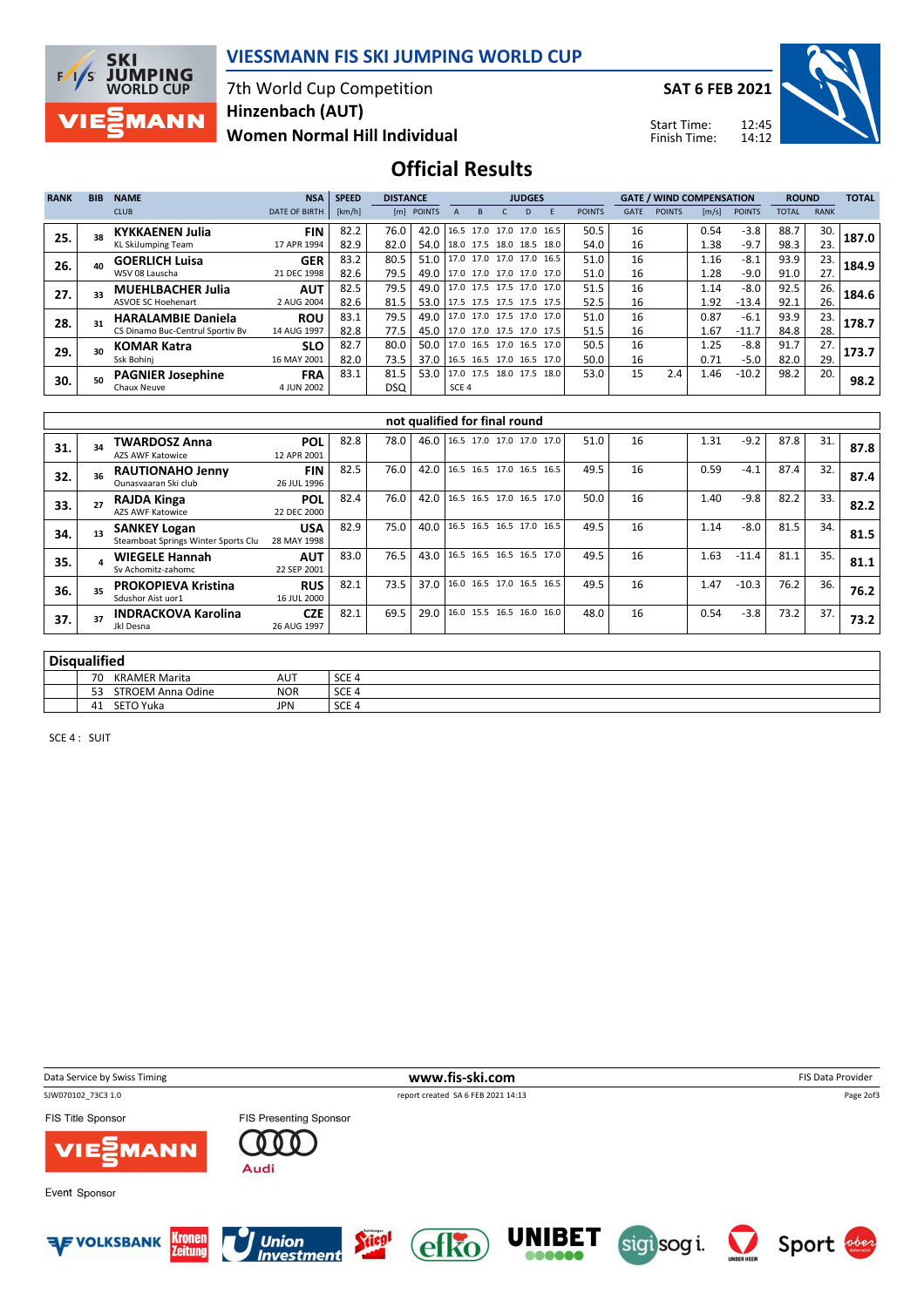

### VIESSMANN FIS SKI JUMPING WORLD CUP

7th World Cup Competition Women Normal Hill Individual Hinzenbach (AUT)

SAT 6 FEB 2021

Start Time: Finish Time:



### Official Results

| <b>RANK</b> | <b>BIB</b> | <b>NAME</b>                      | <b>NSA</b>           | <b>SPEED</b> | <b>DISTANCE</b> |                                 |                  | <b>JUDGES</b> |  |    |                                 |               | <b>GATE / WIND COMPENSATION</b> |               |                       | <b>ROUND</b>  |              | <b>TOTAL</b> |       |
|-------------|------------|----------------------------------|----------------------|--------------|-----------------|---------------------------------|------------------|---------------|--|----|---------------------------------|---------------|---------------------------------|---------------|-----------------------|---------------|--------------|--------------|-------|
|             |            | <b>CLUB</b>                      | <b>DATE OF BIRTH</b> | [km/h]       | [m]             | <b>POINTS</b>                   |                  |               |  | D. |                                 | <b>POINTS</b> | <b>GATE</b>                     | <b>POINTS</b> | $\lfloor m/s \rfloor$ | <b>POINTS</b> | <b>TOTAL</b> | <b>RANK</b>  |       |
| 25.         |            | <b>KYKKAENEN Julia</b>           | <b>FIN</b>           | 82.2         | 76.0            | 42.0 16.5 17.0 17.0 17.0 16.5   |                  |               |  |    |                                 | 50.5          | 16                              |               | 0.54                  | $-3.8$        | 88.7         | 30.          | 187.0 |
|             |            | <b>KL SkiJumping Team</b>        | 17 APR 1994          | 82.9         | 82.0            | 54.0   18.0 17.5 18.0 18.5 18.0 |                  |               |  |    |                                 | 54.0          | 16                              |               | 1.38                  | $-9.7$        | 98.3         | 23.          |       |
| 26.         |            | <b>GOERLICH Luisa</b>            | <b>GER</b>           | 83.2         | 80.5            | 51.0   17.0 17.0 17.0 17.0 16.5 |                  |               |  |    |                                 | 51.0          | 16                              |               | 1.16                  | $-8.1$        | 93.9         | 23.          | 184.9 |
|             |            | WSV 08 Lauscha                   | 21 DEC 1998          | 82.6         | 79.5            | 49.0   17.0 17.0 17.0 17.0 17.0 |                  |               |  |    |                                 | 51.0          | 16                              |               | 1.28                  | $-9.0$        | 91.0         | 27.          |       |
| 27.         |            | <b>MUEHLBACHER Julia</b>         | <b>AUT</b>           | 82.5         | 79.5            |                                 |                  |               |  |    | 49.0 17.0 17.5 17.5 17.0 17.0   | 51.5          | 16                              |               | 1.14                  | $-8.0$        | 92.5         | 26.          | 184.6 |
|             |            | <b>ASVOE SC Hoehenart</b>        | 2 AUG 2004           | 82.6         | 81.5            | 53.0 17.5 17.5 17.5 17.5 17.5   |                  |               |  |    |                                 | 52.5          | 16                              |               | 1.92                  | $-13.4$       | 92.1         | 26.          |       |
| 28.         |            | <b>HARALAMBIE Daniela</b>        | <b>ROU</b>           | 83.1         | 79.5            |                                 |                  |               |  |    | 49.0 17.0 17.0 17.5 17.0 17.0   | 51.0          | 16                              |               | 0.87                  | $-6.1$        | 93.9         | 23.          | 178.7 |
|             |            | CS Dinamo Buc-Centrul Sportiv Bv | 14 AUG 1997          | 82.8         | 77.5            | 45.0 17.0 17.0 17.5 17.0 17.5   |                  |               |  |    |                                 | 51.5          | 16                              |               | 1.67                  | $-11.7$       | 84.8         | 28.          |       |
| 29.         |            | <b>KOMAR Katra</b>               | <b>SLO</b>           | 82.7         | 80.0            |                                 |                  |               |  |    | 50.0   17.0 16.5 17.0 16.5 17.0 | 50.5          | 16                              |               | 1.25                  | $-8.8$        | 91.7         | 27.          | 173.7 |
|             |            | Ssk Bohini                       | 16 MAY 2001          | 82.0         | 73.5            | 37.0   16.5 16.5 17.0 16.5 17.0 |                  |               |  |    |                                 | 50.0          | 16                              |               | 0.71                  | $-5.0$        | 82.0         | 29.          |       |
| 30.         |            | <b>PAGNIER Josephine</b>         | <b>FRA</b>           | 83.1         | 81.5            | 53.0 17.0 17.5 18.0 17.5 18.0   |                  |               |  |    |                                 | 53.0          | 15                              | 2.4           | 1.46                  | $-10.2$       | 98.2         | 20.          | 98.2  |
|             |            | Chaux Neuve                      | 4 JUN 2002           |              | DSQ             |                                 | SCE <sub>4</sub> |               |  |    |                                 |               |                                 |               |                       |               |              |              |       |

|     |    |                                                            |                           |      |      |      | not qualified for final round |  |      |    |      |         |      |     |      |
|-----|----|------------------------------------------------------------|---------------------------|------|------|------|-------------------------------|--|------|----|------|---------|------|-----|------|
| 31. | 34 | <b>TWARDOSZ Anna</b><br><b>AZS AWF Katowice</b>            | <b>POL</b><br>12 APR 2001 | 82.8 | 78.0 | 46.0 | 16.5 17.0 17.0 17.0 17.0      |  | 51.0 | 16 | 1.31 | $-9.2$  | 87.8 | 31. | 87.8 |
| 32. |    | <b>RAUTIONAHO Jenny</b><br>Ounasyaaran Ski club            | <b>FIN</b><br>26 JUL 1996 | 82.5 | 76.0 | 42.0 | 16.5 16.5 17.0 16.5 16.5      |  | 49.5 | 16 | 0.59 | $-4.1$  | 87.4 | 32. | 87.4 |
| 33. |    | <b>RAJDA Kinga</b><br><b>AZS AWF Katowice</b>              | <b>POL</b><br>22 DEC 2000 | 82.4 | 76.0 | 42.0 | 16.5 16.5 17.0 16.5 17.0      |  | 50.0 | 16 | 1.40 | $-9.8$  | 82.2 | 33. | 82.2 |
| 34. |    | <b>SANKEY Logan</b><br>Steamboat Springs Winter Sports Clu | <b>USA</b><br>28 MAY 1998 | 82.9 | 75.0 | 40.0 | 16.5 16.5 16.5 17.0 16.5      |  | 49.5 | 16 | 1.14 | $-8.0$  | 81.5 | 34. | 81.5 |
| 35. |    | <b>WIEGELE Hannah</b><br>Sv Achomitz-zahomc                | <b>AUT</b><br>22 SEP 2001 | 83.0 | 76.5 | 43.0 | 16.5 16.5 16.5 16.5 17.0      |  | 49.5 | 16 | 1.63 | $-11.4$ | 81.1 | 35. | 81.1 |
| 36. |    | <b>PROKOPIEVA Kristina</b><br>Sdushor Aist uor1            | <b>RUS</b><br>16 JUL 2000 | 82.1 | 73.5 | 37.0 | 16.0 16.5 17.0 16.5 16.5      |  | 49.5 | 16 | 1.47 | $-10.3$ | 76.2 | 36. | 76.2 |
| 37. |    | <b>INDRACKOVA Karolina</b><br>Jkl Desna                    | <b>CZE</b><br>26 AUG 1997 | 82.1 | 69.5 | 29.0 | 16.0 15.5 16.5 16.0 16.0      |  | 48.0 | 16 | 0.54 | $-3.8$  | 73.2 | 37. | 73.2 |

| n:<br>Dıs | ualified                   |            |                  |  |  |  |  |  |  |  |  |  |
|-----------|----------------------------|------------|------------------|--|--|--|--|--|--|--|--|--|
|           | 70<br><b>KRAMER Marita</b> | <b>AUT</b> | SCE <sub>4</sub> |  |  |  |  |  |  |  |  |  |
|           | STROEM Anna Odine<br>53    | <b>NOR</b> | SCE <sub>4</sub> |  |  |  |  |  |  |  |  |  |
|           | SETO Yuka<br>41            | <b>JPN</b> | SCE <sub>4</sub> |  |  |  |  |  |  |  |  |  |

SCE 4 : SUIT